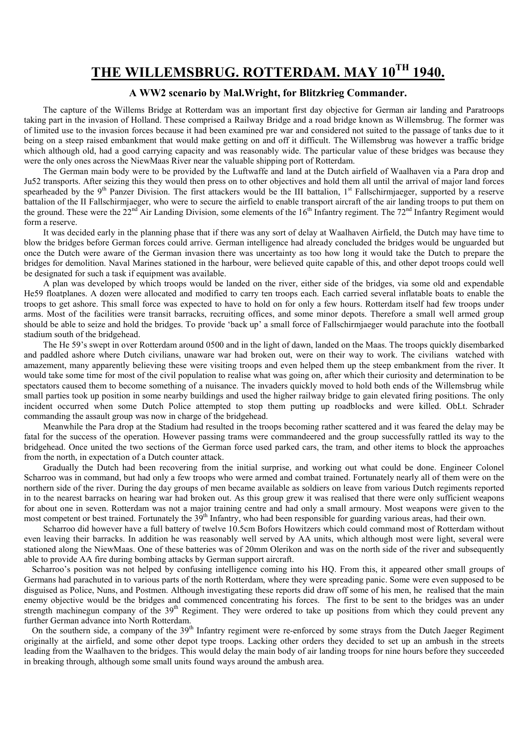# THE WILLEMSBRUG. ROTTERDAM. MAY 10TH 1940.

#### A WW2 scenario by Mal.Wright, for Blitzkrieg Commander.

 The capture of the Willems Bridge at Rotterdam was an important first day objective for German air landing and Paratroops taking part in the invasion of Holland. These comprised a Railway Bridge and a road bridge known as Willemsbrug. The former was of limited use to the invasion forces because it had been examined pre war and considered not suited to the passage of tanks due to it being on a steep raised embankment that would make getting on and off it difficult. The Willemsbrug was however a traffic bridge which although old, had a good carrying capacity and was reasonably wide. The particular value of these bridges was because they were the only ones across the NiewMaas River near the valuable shipping port of Rotterdam.

 The German main body were to be provided by the Luftwaffe and land at the Dutch airfield of Waalhaven via a Para drop and Ju52 transports. After seizing this they would then press on to other objectives and hold them all until the arrival of major land forces spearheaded by the 9<sup>th</sup> Panzer Division. The first attackers would be the III battalion, 1<sup>st</sup> Fallschirmjaeger, supported by a reserve battalion of the II Fallschirmjaeger, who were to secure the airfield to enable transport aircraft of the air landing troops to put them on the ground. These were the  $22^{nd}$  Air Landing Division, some elements of the  $16^{th}$  Infantry regiment. The  $72^{nd}$  Infantry Regiment would form a reserve.

 It was decided early in the planning phase that if there was any sort of delay at Waalhaven Airfield, the Dutch may have time to blow the bridges before German forces could arrive. German intelligence had already concluded the bridges would be unguarded but once the Dutch were aware of the German invasion there was uncertainty as too how long it would take the Dutch to prepare the bridges for demolition. Naval Marines stationed in the harbour, were believed quite capable of this, and other depot troops could well be designated for such a task if equipment was available.

 A plan was developed by which troops would be landed on the river, either side of the bridges, via some old and expendable He59 floatplanes. A dozen were allocated and modified to carry ten troops each. Each carried several inflatable boats to enable the troops to get ashore. This small force was expected to have to hold on for only a few hours. Rotterdam itself had few troops under arms. Most of the facilities were transit barracks, recruiting offices, and some minor depots. Therefore a small well armed group should be able to seize and hold the bridges. To provide 'back up' a small force of Fallschirmjaeger would parachute into the football stadium south of the bridgehead.

 The He 59's swept in over Rotterdam around 0500 and in the light of dawn, landed on the Maas. The troops quickly disembarked and paddled ashore where Dutch civilians, unaware war had broken out, were on their way to work. The civilians watched with amazement, many apparently believing these were visiting troops and even helped them up the steep embankment from the river. It would take some time for most of the civil population to realise what was going on, after which their curiosity and determination to be spectators caused them to become something of a nuisance. The invaders quickly moved to hold both ends of the Willemsbrug while small parties took up position in some nearby buildings and used the higher railway bridge to gain elevated firing positions. The only incident occurred when some Dutch Police attempted to stop them putting up roadblocks and were killed. ObLt. Schrader commanding the assault group was now in charge of the bridgehead.

 Meanwhile the Para drop at the Stadium had resulted in the troops becoming rather scattered and it was feared the delay may be fatal for the success of the operation. However passing trams were commandeered and the group successfully rattled its way to the bridgehead. Once united the two sections of the German force used parked cars, the tram, and other items to block the approaches from the north, in expectation of a Dutch counter attack.

 Gradually the Dutch had been recovering from the initial surprise, and working out what could be done. Engineer Colonel Scharroo was in command, but had only a few troops who were armed and combat trained. Fortunately nearly all of them were on the northern side of the river. During the day groups of men became available as soldiers on leave from various Dutch regiments reported in to the nearest barracks on hearing war had broken out. As this group grew it was realised that there were only sufficient weapons for about one in seven. Rotterdam was not a major training centre and had only a small armoury. Most weapons were given to the most competent or best trained. Fortunately the 39<sup>th</sup> Infantry, who had been responsible for guarding various areas, had their own.

 Scharroo did however have a full battery of twelve 10.5cm Bofors Howitzers which could command most of Rotterdam without even leaving their barracks. In addition he was reasonably well served by AA units, which although most were light, several were stationed along the NiewMaas. One of these batteries was of 20mm Olerikon and was on the north side of the river and subsequently able to provide AA fire during bombing attacks by German support aircraft.

Scharroo's position was not helped by confusing intelligence coming into his HQ. From this, it appeared other small groups of Germans had parachuted in to various parts of the north Rotterdam, where they were spreading panic. Some were even supposed to be disguised as Police, Nuns, and Postmen. Although investigating these reports did draw off some of his men, he realised that the main enemy objective would be the bridges and commenced concentrating his forces. The first to be sent to the bridges was an under strength machinegun company of the 39<sup>th</sup> Regiment. They were ordered to take up positions from which they could prevent any further German advance into North Rotterdam.

On the southern side, a company of the 39<sup>th</sup> Infantry regiment were re-enforced by some strays from the Dutch Jaeger Regiment originally at the airfield, and some other depot type troops. Lacking other orders they decided to set up an ambush in the streets leading from the Waalhaven to the bridges. This would delay the main body of air landing troops for nine hours before they succeeded in breaking through, although some small units found ways around the ambush area.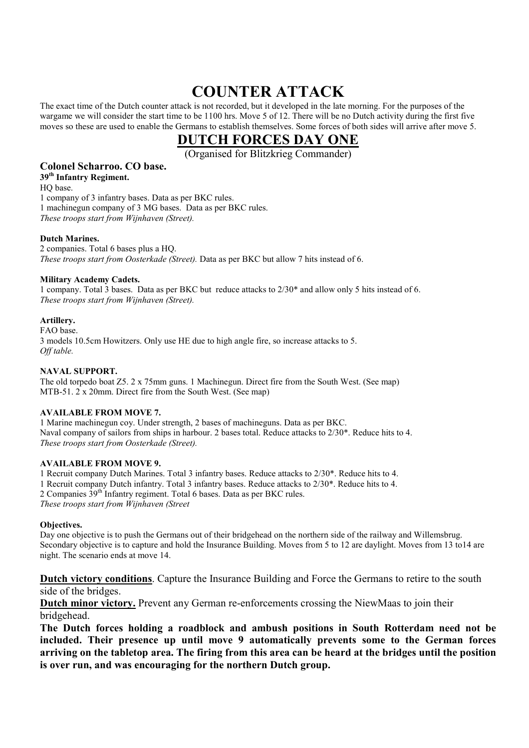# COUNTER ATTACK

The exact time of the Dutch counter attack is not recorded, but it developed in the late morning. For the purposes of the wargame we will consider the start time to be 1100 hrs. Move 5 of 12. There will be no Dutch activity during the first five moves so these are used to enable the Germans to establish themselves. Some forces of both sides will arrive after move 5.

## DUTCH FORCES DAY ONE

(Organised for Blitzkrieg Commander)

## Colonel Scharroo. CO base.

39<sup>th</sup> Infantry Regiment. HQ base. 1 company of 3 infantry bases. Data as per BKC rules. 1 machinegun company of 3 MG bases. Data as per BKC rules. These troops start from Wijnhaven (Street).

#### Dutch Marines.

2 companies. Total 6 bases plus a HQ. These troops start from Oosterkade (Street). Data as per BKC but allow 7 hits instead of 6.

#### Military Academy Cadets.

1 company. Total 3 bases. Data as per BKC but reduce attacks to 2/30\* and allow only 5 hits instead of 6. These troops start from Wijnhaven (Street).

#### Artillery.

FAO base. 3 models 10.5cm Howitzers. Only use HE due to high angle fire, so increase attacks to 5. Off table.

#### NAVAL SUPPORT.

The old torpedo boat Z5. 2 x 75mm guns. 1 Machinegun. Direct fire from the South West. (See map) MTB-51. 2 x 20mm. Direct fire from the South West. (See map)

#### AVAILABLE FROM MOVE 7.

1 Marine machinegun coy. Under strength, 2 bases of machineguns. Data as per BKC. Naval company of sailors from ships in harbour. 2 bases total. Reduce attacks to 2/30\*. Reduce hits to 4. These troops start from Oosterkade (Street).

#### AVAILABLE FROM MOVE 9.

1 Recruit company Dutch Marines. Total 3 infantry bases. Reduce attacks to 2/30\*. Reduce hits to 4. 1 Recruit company Dutch infantry. Total 3 infantry bases. Reduce attacks to 2/30\*. Reduce hits to 4. 2 Companies 39th Infantry regiment. Total 6 bases. Data as per BKC rules. These troops start from Wijnhaven (Street

#### Objectives.

Day one objective is to push the Germans out of their bridgehead on the northern side of the railway and Willemsbrug. Secondary objective is to capture and hold the Insurance Building. Moves from 5 to 12 are daylight. Moves from 13 to14 are night. The scenario ends at move 14.

Dutch victory conditions. Capture the Insurance Building and Force the Germans to retire to the south side of the bridges.

Dutch minor victory. Prevent any German re-enforcements crossing the NiewMaas to join their bridgehead.

The Dutch forces holding a roadblock and ambush positions in South Rotterdam need not be included. Their presence up until move 9 automatically prevents some to the German forces arriving on the tabletop area. The firing from this area can be heard at the bridges until the position is over run, and was encouraging for the northern Dutch group.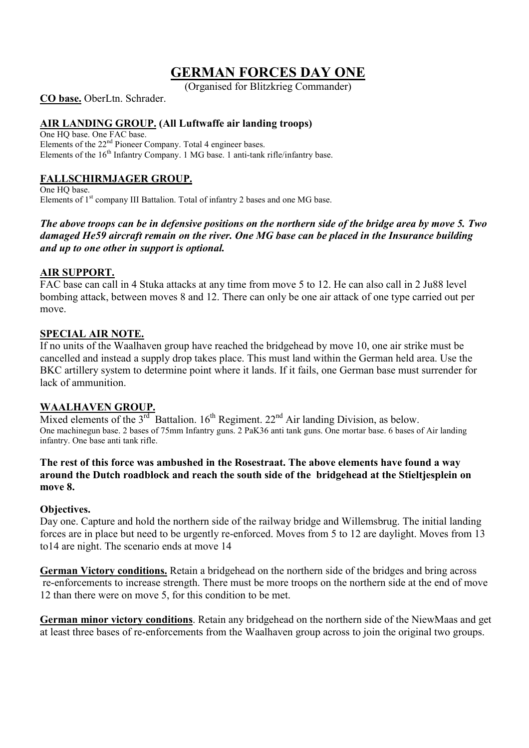## GERMAN FORCES DAY ONE

(Organised for Blitzkrieg Commander)

CO base. OberLtn. Schrader.

## AIR LANDING GROUP. (All Luftwaffe air landing troops)

One HQ base. One FAC base. Elements of the 22<sup>nd</sup> Pioneer Company. Total 4 engineer bases. Elements of the 16<sup>th</sup> Infantry Company. 1 MG base. 1 anti-tank rifle/infantry base.

## FALLSCHIRMJAGER GROUP.

One HQ base. Elements of 1<sup>st</sup> company III Battalion. Total of infantry 2 bases and one MG base.

## The above troops can be in defensive positions on the northern side of the bridge area by move 5. Two damaged He59 aircraft remain on the river. One MG base can be placed in the Insurance building and up to one other in support is optional.

## AIR SUPPORT.

FAC base can call in 4 Stuka attacks at any time from move 5 to 12. He can also call in 2 Ju88 level bombing attack, between moves 8 and 12. There can only be one air attack of one type carried out per move.

## SPECIAL AIR NOTE.

If no units of the Waalhaven group have reached the bridgehead by move 10, one air strike must be cancelled and instead a supply drop takes place. This must land within the German held area. Use the BKC artillery system to determine point where it lands. If it fails, one German base must surrender for lack of ammunition.

## WAALHAVEN GROUP.

Mixed elements of the  $3^{rd}$  Battalion.  $16^{th}$  Regiment.  $22^{nd}$  Air landing Division, as below. One machinegun base. 2 bases of 75mm Infantry guns. 2 PaK36 anti tank guns. One mortar base. 6 bases of Air landing infantry. One base anti tank rifle.

## The rest of this force was ambushed in the Rosestraat. The above elements have found a way around the Dutch roadblock and reach the south side of the bridgehead at the Stieltjesplein on move 8.

## Objectives.

Day one. Capture and hold the northern side of the railway bridge and Willemsbrug. The initial landing forces are in place but need to be urgently re-enforced. Moves from 5 to 12 are daylight. Moves from 13 to14 are night. The scenario ends at move 14

German Victory conditions. Retain a bridgehead on the northern side of the bridges and bring across re-enforcements to increase strength. There must be more troops on the northern side at the end of move 12 than there were on move 5, for this condition to be met.

German minor victory conditions. Retain any bridgehead on the northern side of the NiewMaas and get at least three bases of re-enforcements from the Waalhaven group across to join the original two groups.